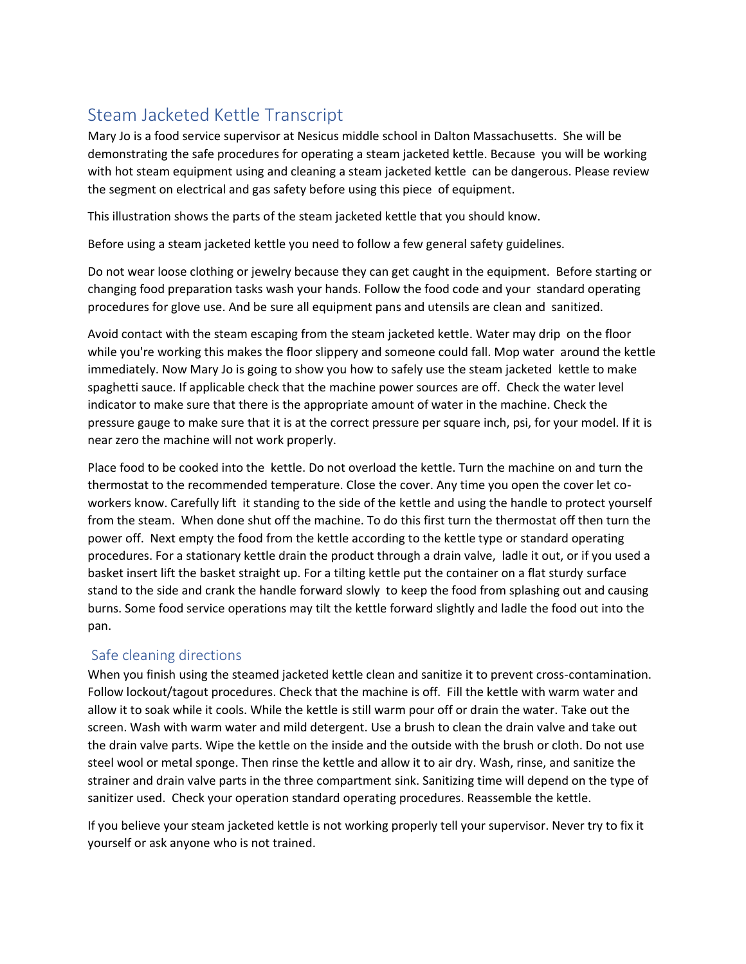## Steam Jacketed Kettle Transcript

Mary Jo is a food service supervisor at Nesicus middle school in Dalton Massachusetts. She will be demonstrating the safe procedures for operating a steam jacketed kettle. Because you will be working with hot steam equipment using and cleaning a steam jacketed kettle can be dangerous. Please review the segment on electrical and gas safety before using this piece of equipment.

This illustration shows the parts of the steam jacketed kettle that you should know.

Before using a steam jacketed kettle you need to follow a few general safety guidelines.

Do not wear loose clothing or jewelry because they can get caught in the equipment. Before starting or changing food preparation tasks wash your hands. Follow the food code and your standard operating procedures for glove use. And be sure all equipment pans and utensils are clean and sanitized.

Avoid contact with the steam escaping from the steam jacketed kettle. Water may drip on the floor while you're working this makes the floor slippery and someone could fall. Mop water around the kettle immediately. Now Mary Jo is going to show you how to safely use the steam jacketed kettle to make spaghetti sauce. If applicable check that the machine power sources are off. Check the water level indicator to make sure that there is the appropriate amount of water in the machine. Check the pressure gauge to make sure that it is at the correct pressure per square inch, psi, for your model. If it is near zero the machine will not work properly.

Place food to be cooked into the kettle. Do not overload the kettle. Turn the machine on and turn the thermostat to the recommended temperature. Close the cover. Any time you open the cover let coworkers know. Carefully lift it standing to the side of the kettle and using the handle to protect yourself from the steam. When done shut off the machine. To do this first turn the thermostat off then turn the power off. Next empty the food from the kettle according to the kettle type or standard operating procedures. For a stationary kettle drain the product through a drain valve, ladle it out, or if you used a basket insert lift the basket straight up. For a tilting kettle put the container on a flat sturdy surface stand to the side and crank the handle forward slowly to keep the food from splashing out and causing burns. Some food service operations may tilt the kettle forward slightly and ladle the food out into the pan.

## Safe cleaning directions

When you finish using the steamed jacketed kettle clean and sanitize it to prevent cross-contamination. Follow lockout/tagout procedures. Check that the machine is off. Fill the kettle with warm water and allow it to soak while it cools. While the kettle is still warm pour off or drain the water. Take out the screen. Wash with warm water and mild detergent. Use a brush to clean the drain valve and take out the drain valve parts. Wipe the kettle on the inside and the outside with the brush or cloth. Do not use steel wool or metal sponge. Then rinse the kettle and allow it to air dry. Wash, rinse, and sanitize the strainer and drain valve parts in the three compartment sink. Sanitizing time will depend on the type of sanitizer used. Check your operation standard operating procedures. Reassemble the kettle.

If you believe your steam jacketed kettle is not working properly tell your supervisor. Never try to fix it yourself or ask anyone who is not trained.